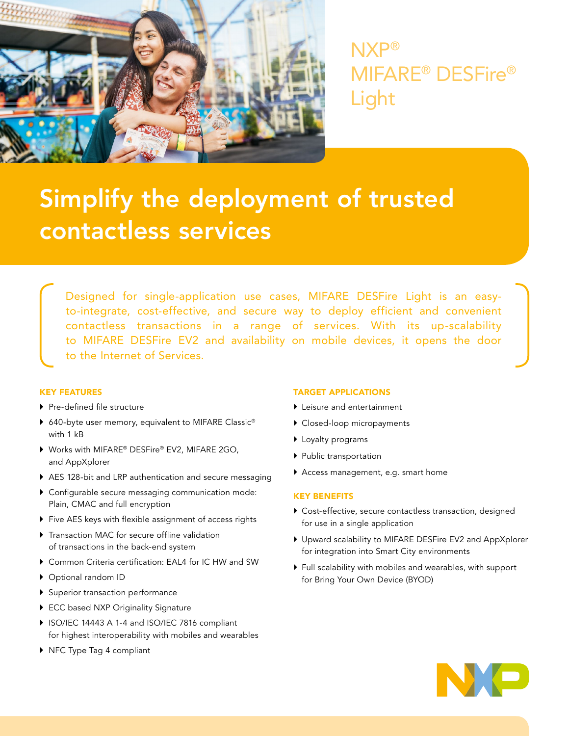

NXP® MIFARE® DESFire® Light

# Simplify the deployment of trusted contactless services

Designed for single-application use cases, MIFARE DESFire Light is an easyto-integrate, cost-effective, and secure way to deploy efficient and convenient contactless transactions in a range of services. With its up-scalability to MIFARE DESFire EV2 and availability on mobile devices, it opens the door to the Internet of Services.

## KEY FEATURES

- ▶ Pre-defined file structure
- ▶ 640-byte user memory, equivalent to MIFARE Classic<sup>®</sup> with 1 kB
- ▶ Works with MIFARE® DESFire® EV2, MIFARE 2GO, and AppXplorer
- } AES 128-bit and LRP authentication and secure messaging
- } Configurable secure messaging communication mode: Plain, CMAC and full encryption
- } Five AES keys with flexible assignment of access rights
- ▶ Transaction MAC for secure offline validation of transactions in the back-end system
- } Common Criteria certification: EAL4 for IC HW and SW
- } Optional random ID
- } Superior transaction performance
- ▶ ECC based NXP Originality Signature
- ▶ ISO/IEC 14443 A 1-4 and ISO/IEC 7816 compliant for highest interoperability with mobiles and wearables
- ▶ NFC Type Tag 4 compliant

#### TARGET APPLICATIONS

- ▶ Leisure and entertainment
- $\blacktriangleright$  Closed-loop micropayments
- **Loyalty programs**
- **Public transportation**
- ` Access management, e.g. smart home

### KEY BENEFITS

- $\blacktriangleright$  Cost-effective, secure contactless transaction, designed for use in a single application
- ` Upward scalability to MIFARE DESFire EV2 and AppXplorer for integration into Smart City environments
- ` Full scalability with mobiles and wearables, with support for Bring Your Own Device (BYOD)